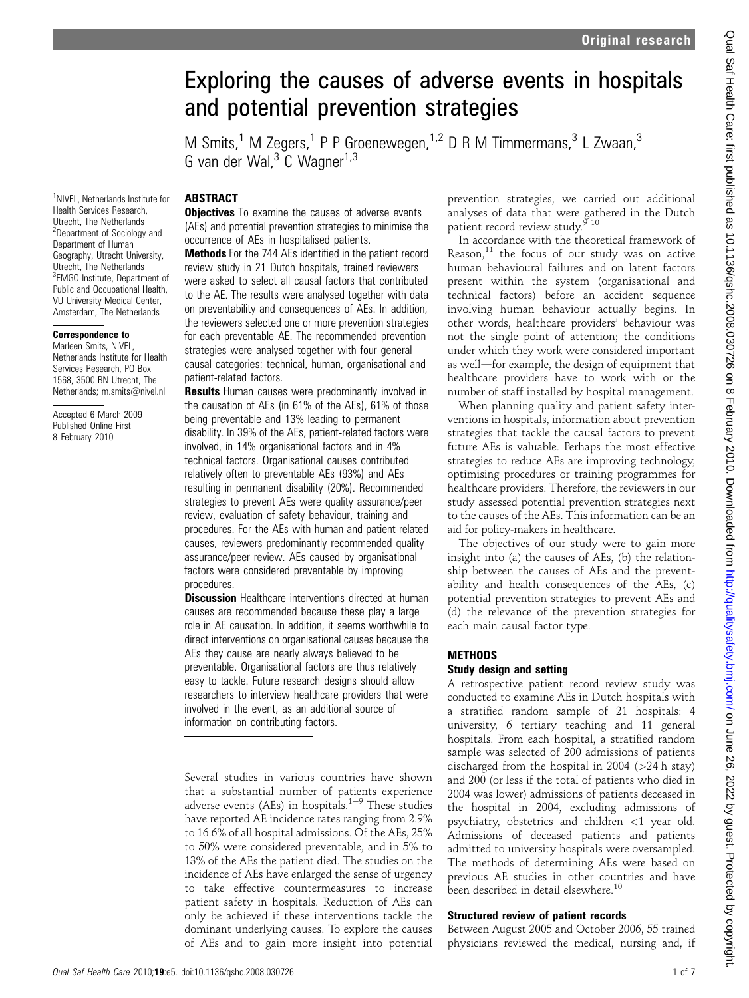# Exploring the causes of adverse events in hospitals and potential prevention strategies

M Smits,<sup>1</sup> M Zegers,<sup>1</sup> P P Groenewegen,<sup>1,2</sup> D R M Timmermans,<sup>3</sup> L Zwaan,<sup>3</sup> G van der Wal, $3 \text{ C}$  Wagner<sup>1,3</sup>

# ABSTRACT

**Objectives** To examine the causes of adverse events (AEs) and potential prevention strategies to minimise the occurrence of AEs in hospitalised patients.

Methods For the 744 AEs identified in the patient record review study in 21 Dutch hospitals, trained reviewers were asked to select all causal factors that contributed to the AE. The results were analysed together with data on preventability and consequences of AEs. In addition, the reviewers selected one or more prevention strategies for each preventable AE. The recommended prevention strategies were analysed together with four general causal categories: technical, human, organisational and patient-related factors.

**Results** Human causes were predominantly involved in the causation of AEs (in 61% of the AEs), 61% of those being preventable and 13% leading to permanent disability. In 39% of the AEs, patient-related factors were involved, in 14% organisational factors and in 4% technical factors. Organisational causes contributed relatively often to preventable AEs (93%) and AEs resulting in permanent disability (20%). Recommended strategies to prevent AEs were quality assurance/peer review, evaluation of safety behaviour, training and procedures. For the AEs with human and patient-related causes, reviewers predominantly recommended quality assurance/peer review. AEs caused by organisational factors were considered preventable by improving procedures.

**Discussion** Healthcare interventions directed at human causes are recommended because these play a large role in AE causation. In addition, it seems worthwhile to direct interventions on organisational causes because the AEs they cause are nearly always believed to be preventable. Organisational factors are thus relatively easy to tackle. Future research designs should allow researchers to interview healthcare providers that were involved in the event, as an additional source of information on contributing factors.

Several studies in various countries have shown that a substantial number of patients experience adverse events (AEs) in hospitals.<sup>1-9</sup> These studies have reported AE incidence rates ranging from 2.9% to 16.6% of all hospital admissions. Of the AEs, 25% to 50% were considered preventable, and in 5% to 13% of the AEs the patient died. The studies on the incidence of AEs have enlarged the sense of urgency to take effective countermeasures to increase patient safety in hospitals. Reduction of AEs can only be achieved if these interventions tackle the dominant underlying causes. To explore the causes of AEs and to gain more insight into potential

prevention strategies, we carried out additional analyses of data that were gathered in the Dutch patient record review study.<sup>9 10</sup>

In accordance with the theoretical framework of Reason, $11$  the focus of our study was on active human behavioural failures and on latent factors present within the system (organisational and technical factors) before an accident sequence involving human behaviour actually begins. In other words, healthcare providers' behaviour was not the single point of attention; the conditions under which they work were considered important as well-for example, the design of equipment that healthcare providers have to work with or the number of staff installed by hospital management.

When planning quality and patient safety interventions in hospitals, information about prevention strategies that tackle the causal factors to prevent future AEs is valuable. Perhaps the most effective strategies to reduce AEs are improving technology, optimising procedures or training programmes for healthcare providers. Therefore, the reviewers in our study assessed potential prevention strategies next to the causes of the AEs. This information can be an aid for policy-makers in healthcare.

The objectives of our study were to gain more insight into (a) the causes of AEs, (b) the relationship between the causes of AEs and the preventability and health consequences of the AEs, (c) potential prevention strategies to prevent AEs and (d) the relevance of the prevention strategies for each main causal factor type.

# **METHODS**

# Study design and setting

A retrospective patient record review study was conducted to examine AEs in Dutch hospitals with a stratified random sample of 21 hospitals: 4 university, 6 tertiary teaching and 11 general hospitals. From each hospital, a stratified random sample was selected of 200 admissions of patients discharged from the hospital in 2004 ( $>$ 24 h stay) and 200 (or less if the total of patients who died in 2004 was lower) admissions of patients deceased in the hospital in 2004, excluding admissions of psychiatry, obstetrics and children <1 year old. Admissions of deceased patients and patients admitted to university hospitals were oversampled. The methods of determining AEs were based on previous AE studies in other countries and have been described in detail elsewhere.<sup>10</sup>

# Structured review of patient records

Between August 2005 and October 2006, 55 trained physicians reviewed the medical, nursing and, if

<sup>1</sup>NIVEL, Netherlands Institute for Health Services Research, Utrecht, The Netherlands <sup>2</sup>Department of Sociology and Department of Human Geography, Utrecht University, Utrecht, The Netherlands 3 EMGO Institute, Department of Public and Occupational Health, VU University Medical Center, Amsterdam, The Netherlands

## Correspondence to

Marleen Smits, NIVEL, Netherlands Institute for Health Services Research, PO Box 1568, 3500 BN Utrecht, The Netherlands; m.smits@nivel.nl

Accepted 6 March 2009 Published Online First 8 February 2010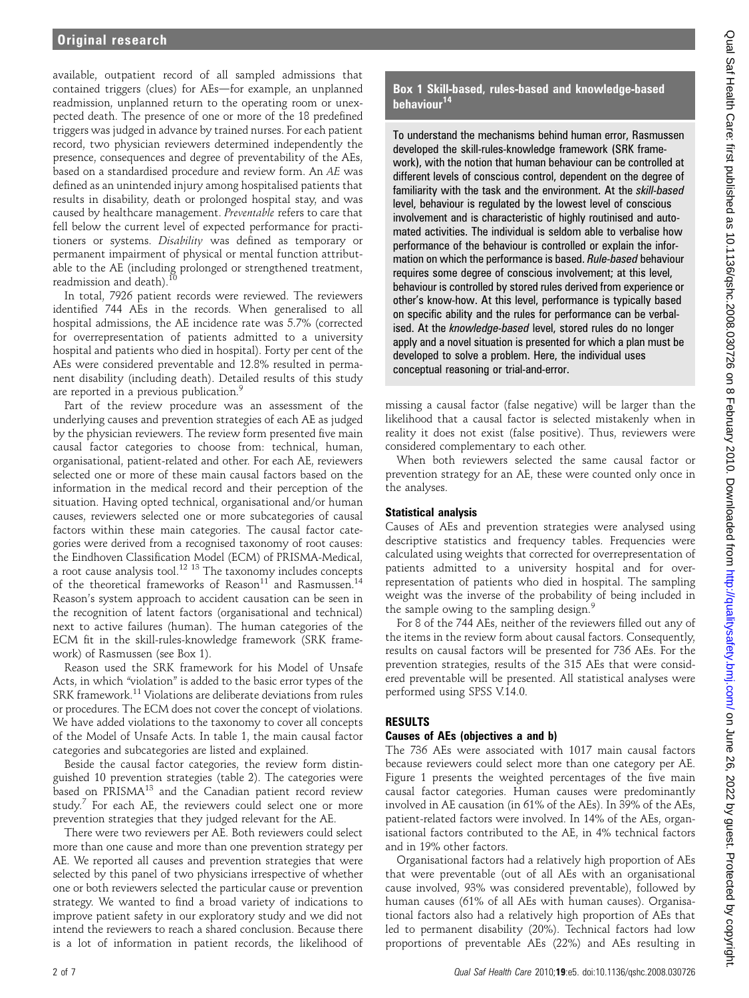available, outpatient record of all sampled admissions that contained triggers (clues) for AEs—for example, an unplanned readmission, unplanned return to the operating room or unexpected death. The presence of one or more of the 18 predefined triggers was judged in advance by trained nurses. For each patient record, two physician reviewers determined independently the presence, consequences and degree of preventability of the AEs, based on a standardised procedure and review form. An AE was defined as an unintended injury among hospitalised patients that results in disability, death or prolonged hospital stay, and was caused by healthcare management. Preventable refers to care that fell below the current level of expected performance for practitioners or systems. Disability was defined as temporary or permanent impairment of physical or mental function attributable to the AE (including prolonged or strengthened treatment, readmission and death). $^{10}$ 

In total, 7926 patient records were reviewed. The reviewers identified 744 AEs in the records. When generalised to all hospital admissions, the AE incidence rate was 5.7% (corrected for overrepresentation of patients admitted to a university hospital and patients who died in hospital). Forty per cent of the AEs were considered preventable and 12.8% resulted in permanent disability (including death). Detailed results of this study are reported in a previous publication.<sup>9</sup>

Part of the review procedure was an assessment of the underlying causes and prevention strategies of each AE as judged by the physician reviewers. The review form presented five main causal factor categories to choose from: technical, human, organisational, patient-related and other. For each AE, reviewers selected one or more of these main causal factors based on the information in the medical record and their perception of the situation. Having opted technical, organisational and/or human causes, reviewers selected one or more subcategories of causal factors within these main categories. The causal factor categories were derived from a recognised taxonomy of root causes: the Eindhoven Classification Model (ECM) of PRISMA-Medical, a root cause analysis tool.<sup>12 13</sup> The taxonomy includes concepts of the theoretical frameworks of Reason<sup>11</sup> and Rasmussen.<sup>14</sup> Reason's system approach to accident causation can be seen in the recognition of latent factors (organisational and technical) next to active failures (human). The human categories of the ECM fit in the skill-rules-knowledge framework (SRK framework) of Rasmussen (see Box 1).

Reason used the SRK framework for his Model of Unsafe Acts, in which "violation" is added to the basic error types of the SRK framework.<sup>11</sup> Violations are deliberate deviations from rules or procedures. The ECM does not cover the concept of violations. We have added violations to the taxonomy to cover all concepts of the Model of Unsafe Acts. In table 1, the main causal factor categories and subcategories are listed and explained.

Beside the causal factor categories, the review form distinguished 10 prevention strategies (table 2). The categories were based on PRISMA<sup>13</sup> and the Canadian patient record review study.<sup>7</sup> For each AE, the reviewers could select one or more prevention strategies that they judged relevant for the AE.

There were two reviewers per AE. Both reviewers could select more than one cause and more than one prevention strategy per AE. We reported all causes and prevention strategies that were selected by this panel of two physicians irrespective of whether one or both reviewers selected the particular cause or prevention strategy. We wanted to find a broad variety of indications to improve patient safety in our exploratory study and we did not intend the reviewers to reach a shared conclusion. Because there is a lot of information in patient records, the likelihood of

# Box 1 Skill-based, rules-based and knowledge-based behaviour<sup>14</sup>

To understand the mechanisms behind human error, Rasmussen developed the skill-rules-knowledge framework (SRK framework), with the notion that human behaviour can be controlled at different levels of conscious control, dependent on the degree of familiarity with the task and the environment. At the skill-based level, behaviour is regulated by the lowest level of conscious involvement and is characteristic of highly routinised and automated activities. The individual is seldom able to verbalise how performance of the behaviour is controlled or explain the information on which the performance is based. Rule-based behaviour requires some degree of conscious involvement; at this level, behaviour is controlled by stored rules derived from experience or other's know-how. At this level, performance is typically based on specific ability and the rules for performance can be verbalised. At the knowledge-based level, stored rules do no longer apply and a novel situation is presented for which a plan must be developed to solve a problem. Here, the individual uses conceptual reasoning or trial-and-error.

missing a causal factor (false negative) will be larger than the likelihood that a causal factor is selected mistakenly when in reality it does not exist (false positive). Thus, reviewers were considered complementary to each other.

When both reviewers selected the same causal factor or prevention strategy for an AE, these were counted only once in the analyses.

## Statistical analysis

Causes of AEs and prevention strategies were analysed using descriptive statistics and frequency tables. Frequencies were calculated using weights that corrected for overrepresentation of patients admitted to a university hospital and for overrepresentation of patients who died in hospital. The sampling weight was the inverse of the probability of being included in the sample owing to the sampling design.<sup>9</sup>

For 8 of the 744 AEs, neither of the reviewers filled out any of the items in the review form about causal factors. Consequently, results on causal factors will be presented for 736 AEs. For the prevention strategies, results of the 315 AEs that were considered preventable will be presented. All statistical analyses were performed using SPSS V.14.0.

## RESULTS

#### Causes of AEs (objectives a and b)

The 736 AEs were associated with 1017 main causal factors because reviewers could select more than one category per AE. Figure 1 presents the weighted percentages of the five main causal factor categories. Human causes were predominantly involved in AE causation (in 61% of the AEs). In 39% of the AEs, patient-related factors were involved. In 14% of the AEs, organisational factors contributed to the AE, in 4% technical factors and in 19% other factors.

Organisational factors had a relatively high proportion of AEs that were preventable (out of all AEs with an organisational cause involved, 93% was considered preventable), followed by human causes (61% of all AEs with human causes). Organisational factors also had a relatively high proportion of AEs that led to permanent disability (20%). Technical factors had low proportions of preventable AEs (22%) and AEs resulting in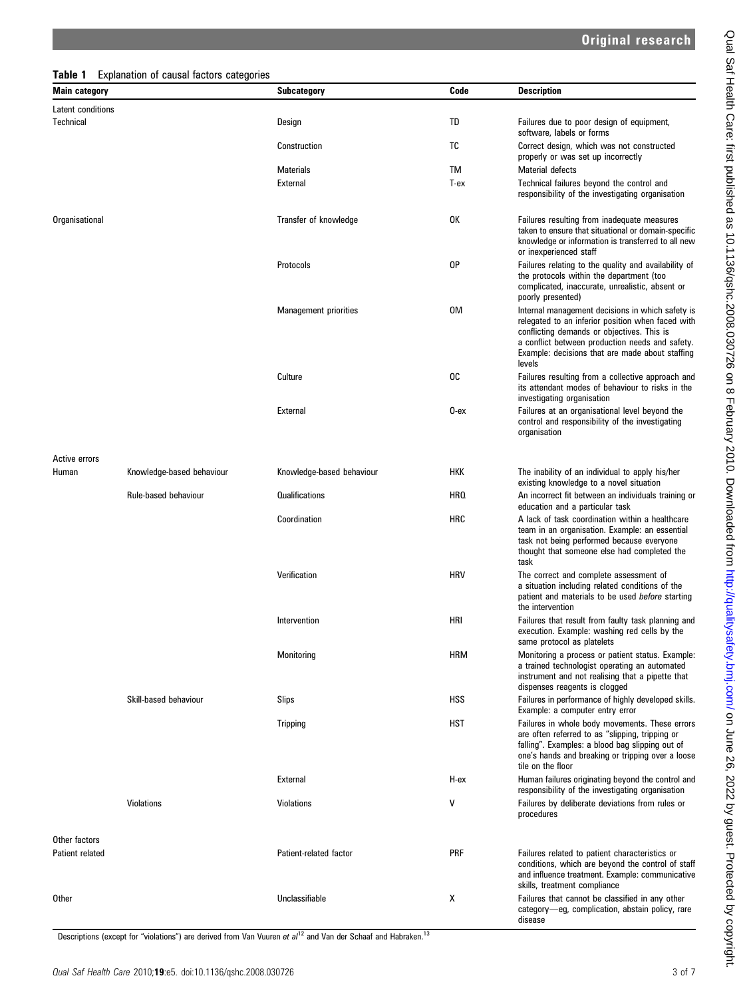# Table 1 Explanation of causal factors categories

| IGNIG I<br><b>Main category</b>         | <b>Explaination of causal factors categories</b> | Subcategory                  | Code       | <b>Description</b>                                                                                                                                                                                                                                                  |
|-----------------------------------------|--------------------------------------------------|------------------------------|------------|---------------------------------------------------------------------------------------------------------------------------------------------------------------------------------------------------------------------------------------------------------------------|
| Latent conditions                       |                                                  |                              |            |                                                                                                                                                                                                                                                                     |
| Technical                               |                                                  | Design                       | TD         | Failures due to poor design of equipment,<br>software, labels or forms                                                                                                                                                                                              |
|                                         |                                                  | Construction                 | TC         | Correct design, which was not constructed<br>properly or was set up incorrectly                                                                                                                                                                                     |
|                                         |                                                  | <b>Materials</b>             | <b>TM</b>  | Material defects                                                                                                                                                                                                                                                    |
|                                         |                                                  | External                     | T-ex       | Technical failures beyond the control and<br>responsibility of the investigating organisation                                                                                                                                                                       |
| Organisational                          |                                                  | Transfer of knowledge        | OΚ         | Failures resulting from inadequate measures<br>taken to ensure that situational or domain-specific<br>knowledge or information is transferred to all new<br>or inexperienced staff                                                                                  |
|                                         |                                                  | Protocols                    | 0P         | Failures relating to the quality and availability of<br>the protocols within the department (too<br>complicated, inaccurate, unrealistic, absent or<br>poorly presented)                                                                                            |
|                                         |                                                  | <b>Management priorities</b> | 0M         | Internal management decisions in which safety is<br>relegated to an inferior position when faced with<br>conflicting demands or objectives. This is<br>a conflict between production needs and safety.<br>Example: decisions that are made about staffing<br>levels |
|                                         |                                                  | Culture                      | 0C         | Failures resulting from a collective approach and<br>its attendant modes of behaviour to risks in the<br>investigating organisation                                                                                                                                 |
|                                         |                                                  | External                     | $0-ex$     | Failures at an organisational level beyond the<br>control and responsibility of the investigating<br>organisation                                                                                                                                                   |
| Active errors                           |                                                  |                              |            |                                                                                                                                                                                                                                                                     |
| Human                                   | Knowledge-based behaviour                        | Knowledge-based behaviour    | HKK        | The inability of an individual to apply his/her<br>existing knowledge to a novel situation                                                                                                                                                                          |
|                                         | Rule-based behaviour                             | <b>Qualifications</b>        | HRQ        | An incorrect fit between an individuals training or<br>education and a particular task                                                                                                                                                                              |
|                                         |                                                  | Coordination                 | <b>HRC</b> | A lack of task coordination within a healthcare<br>team in an organisation. Example: an essential<br>task not being performed because everyone<br>thought that someone else had completed the<br>task                                                               |
|                                         |                                                  | Verification                 | HRV        | The correct and complete assessment of<br>a situation including related conditions of the<br>patient and materials to be used before starting<br>the intervention                                                                                                   |
|                                         |                                                  | Intervention                 | HRI        | Failures that result from faulty task planning and<br>execution. Example: washing red cells by the<br>same protocol as platelets                                                                                                                                    |
|                                         |                                                  | Monitoring                   | <b>HRM</b> | Monitoring a process or patient status. Example:<br>a trained technologist operating an automated<br>instrument and not realising that a pipette that<br>dispenses reagents is clogged                                                                              |
|                                         | Skill-based behaviour                            | Slips                        | <b>HSS</b> | Failures in performance of highly developed skills.<br>Example: a computer entry error                                                                                                                                                                              |
|                                         |                                                  | <b>Tripping</b>              | <b>HST</b> | Failures in whole body movements. These errors<br>are often referred to as "slipping, tripping or<br>falling". Examples: a blood bag slipping out of<br>one's hands and breaking or tripping over a loose<br>tile on the floor                                      |
|                                         |                                                  | External                     | H-ex       | Human failures originating beyond the control and<br>responsibility of the investigating organisation                                                                                                                                                               |
|                                         | Violations                                       | Violations                   | ٧          | Failures by deliberate deviations from rules or<br>procedures                                                                                                                                                                                                       |
| Other factors<br><b>Patient related</b> |                                                  | Patient-related factor       | <b>PRF</b> | Failures related to patient characteristics or<br>conditions, which are beyond the control of staff<br>and influence treatment. Example: communicative<br>skills, treatment compliance                                                                              |
| Other                                   |                                                  | Unclassifiable               | Χ          | Failures that cannot be classified in any other<br>category-eg, complication, abstain policy, rare<br>disease                                                                                                                                                       |

Descriptions (except for "violations") are derived from Van Vuuren et al<sup>12</sup> and Van der Schaaf and Habraken.<sup>13</sup>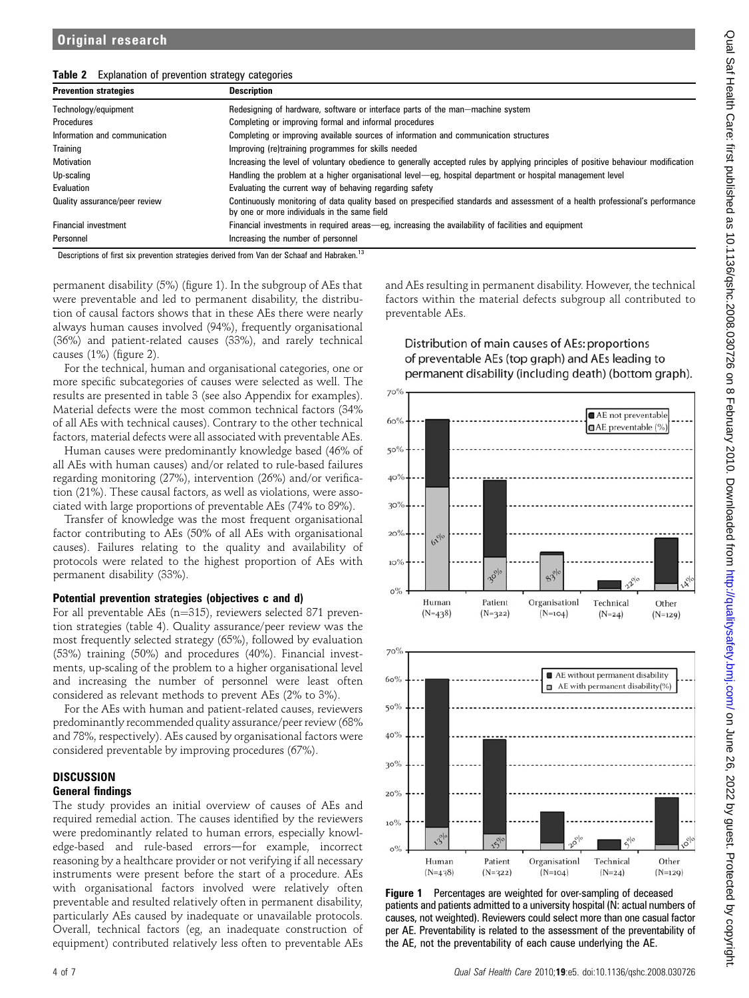#### Table 2 Explanation of prevention strategy categories

| <b>Prevention strategies</b>  | <b>Description</b>                                                                                                                                                            |
|-------------------------------|-------------------------------------------------------------------------------------------------------------------------------------------------------------------------------|
| Technology/equipment          | Redesigning of hardware, software or interface parts of the man—machine system                                                                                                |
| Procedures                    | Completing or improving formal and informal procedures                                                                                                                        |
| Information and communication | Completing or improving available sources of information and communication structures                                                                                         |
| Training                      | Improving (re)training programmes for skills needed                                                                                                                           |
| Motivation                    | Increasing the level of voluntary obedience to generally accepted rules by applying principles of positive behaviour modification                                             |
| Up-scaling                    | Handling the problem at a higher organisational level—eg, hospital department or hospital management level                                                                    |
| Evaluation                    | Evaluating the current way of behaving regarding safety                                                                                                                       |
| Quality assurance/peer review | Continuously monitoring of data quality based on prespecified standards and assessment of a health professional's performance<br>by one or more individuals in the same field |
| <b>Financial investment</b>   | Financial investments in required areas—eg, increasing the availability of facilities and equipment                                                                           |
| Personnel                     | Increasing the number of personnel                                                                                                                                            |

Descriptions of first six prevention strategies derived from Van der Schaaf and Habraken.<sup>13</sup>

permanent disability (5%) (figure 1). In the subgroup of AEs that were preventable and led to permanent disability, the distribution of causal factors shows that in these AEs there were nearly always human causes involved (94%), frequently organisational (36%) and patient-related causes (33%), and rarely technical causes (1%) (figure 2).

For the technical, human and organisational categories, one or more specific subcategories of causes were selected as well. The results are presented in table 3 (see also Appendix for examples). Material defects were the most common technical factors (34% of all AEs with technical causes). Contrary to the other technical factors, material defects were all associated with preventable AEs.

Human causes were predominantly knowledge based (46% of all AEs with human causes) and/or related to rule-based failures regarding monitoring (27%), intervention (26%) and/or verification (21%). These causal factors, as well as violations, were associated with large proportions of preventable AEs (74% to 89%).

Transfer of knowledge was the most frequent organisational factor contributing to AEs (50% of all AEs with organisational causes). Failures relating to the quality and availability of protocols were related to the highest proportion of AEs with permanent disability (33%).

#### Potential prevention strategies (objectives c and d)

For all preventable AEs ( $n=315$ ), reviewers selected 871 prevention strategies (table 4). Quality assurance/peer review was the most frequently selected strategy (65%), followed by evaluation (53%) training (50%) and procedures (40%). Financial investments, up-scaling of the problem to a higher organisational level and increasing the number of personnel were least often considered as relevant methods to prevent AEs (2% to 3%).

For the AEs with human and patient-related causes, reviewers predominantly recommended quality assurance/peer review (68% and 78%, respectively). AEs caused by organisational factors were considered preventable by improving procedures (67%).

#### **DISCUSSION** General findings

The study provides an initial overview of causes of AEs and required remedial action. The causes identified by the reviewers were predominantly related to human errors, especially knowledge-based and rule-based errors-for example, incorrect reasoning by a healthcare provider or not verifying if all necessary instruments were present before the start of a procedure. AEs with organisational factors involved were relatively often preventable and resulted relatively often in permanent disability, particularly AEs caused by inadequate or unavailable protocols. Overall, technical factors (eg, an inadequate construction of equipment) contributed relatively less often to preventable AEs and AEs resulting in permanent disability. However, the technical factors within the material defects subgroup all contributed to preventable AEs.



**Figure 1** Percentages are weighted for over-sampling of deceased patients and patients admitted to a university hospital (N: actual numbers of causes, not weighted). Reviewers could select more than one casual factor per AE. Preventability is related to the assessment of the preventability of the AE, not the preventability of each cause underlying the AE.

Distribution of main causes of AEs: proportions of preventable AEs (top graph) and AEs leading to permanent disability (including death) (bottom graph).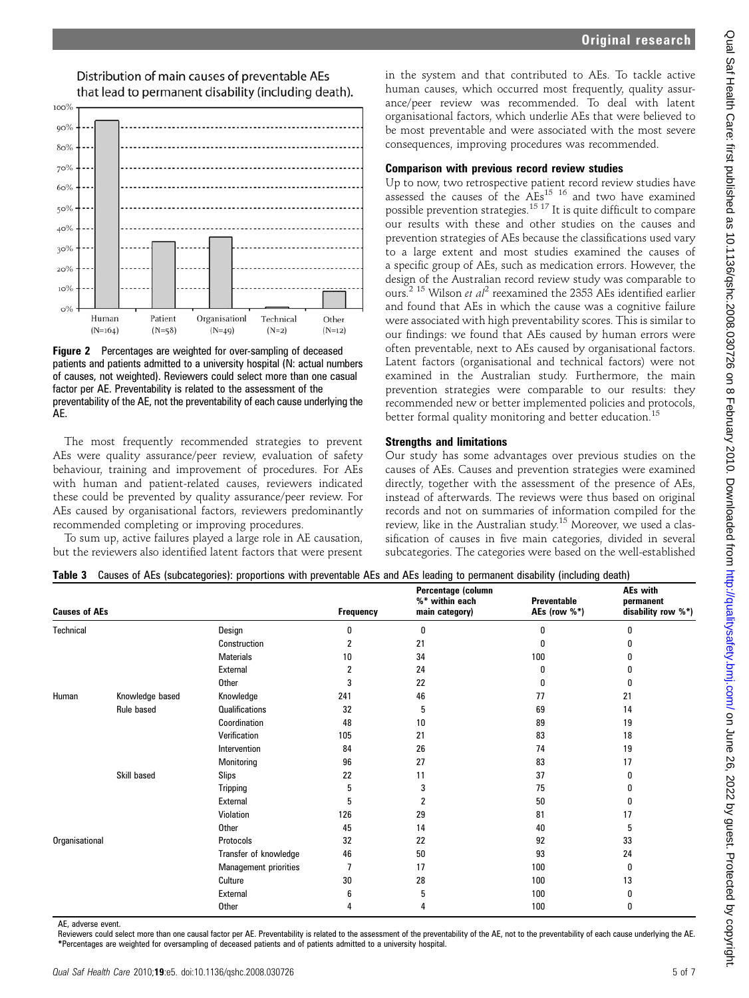## Distribution of main causes of preventable AEs that lead to permanent disability (including death).



Figure 2 Percentages are weighted for over-sampling of deceased patients and patients admitted to a university hospital (N: actual numbers of causes, not weighted). Reviewers could select more than one casual factor per AE. Preventability is related to the assessment of the preventability of the AE, not the preventability of each cause underlying the AE.

The most frequently recommended strategies to prevent AEs were quality assurance/peer review, evaluation of safety behaviour, training and improvement of procedures. For AEs with human and patient-related causes, reviewers indicated these could be prevented by quality assurance/peer review. For AEs caused by organisational factors, reviewers predominantly recommended completing or improving procedures.

To sum up, active failures played a large role in AE causation, but the reviewers also identified latent factors that were present

in the system and that contributed to AEs. To tackle active human causes, which occurred most frequently, quality assurance/peer review was recommended. To deal with latent organisational factors, which underlie AEs that were believed to be most preventable and were associated with the most severe consequences, improving procedures was recommended.

## Comparison with previous record review studies

Up to now, two retrospective patient record review studies have assessed the causes of the  $AEs^{15}$  16 and two have examined possible prevention strategies.15 17 It is quite difficult to compare our results with these and other studies on the causes and prevention strategies of AEs because the classifications used vary to a large extent and most studies examined the causes of a specific group of AEs, such as medication errors. However, the design of the Australian record review study was comparable to ours.<sup>2 15</sup> Wilson *et al*<sup>2</sup> reexamined the 2353 AEs identified earlier and found that AEs in which the cause was a cognitive failure were associated with high preventability scores. This is similar to our findings: we found that AEs caused by human errors were often preventable, next to AEs caused by organisational factors. Latent factors (organisational and technical factors) were not examined in the Australian study. Furthermore, the main prevention strategies were comparable to our results: they recommended new or better implemented policies and protocols, better formal quality monitoring and better education.<sup>15</sup>

# Strengths and limitations

Our study has some advantages over previous studies on the causes of AEs. Causes and prevention strategies were examined directly, together with the assessment of the presence of AEs, instead of afterwards. The reviews were thus based on original records and not on summaries of information compiled for the review, like in the Australian study.15 Moreover, we used a classification of causes in five main categories, divided in several subcategories. The categories were based on the well-established

| Table 3 Causes of AEs (subcategories): proportions with preventable AEs and AEs leading to permanent disability (including death) |  |
|-----------------------------------------------------------------------------------------------------------------------------------|--|
|-----------------------------------------------------------------------------------------------------------------------------------|--|

| <b>Causes of AEs</b> |                 |                       | Frequency | Percentage (column<br>%* within each<br>main category) | Preventable<br>AEs (row %*) | <b>AEs with</b><br>permanent<br>disability row %*) |
|----------------------|-----------------|-----------------------|-----------|--------------------------------------------------------|-----------------------------|----------------------------------------------------|
| Technical            |                 | Design                | 0         | 0                                                      | 0                           | 0                                                  |
|                      |                 | Construction          | 2         | 21                                                     | 0                           | 0                                                  |
|                      |                 | <b>Materials</b>      | 10        | 34                                                     | 100                         | 0                                                  |
|                      |                 | External              | 2         | 24                                                     | 0                           | 0                                                  |
|                      |                 | <b>Other</b>          | 3         | 22                                                     | 0                           | 0                                                  |
| Human                | Knowledge based | Knowledge             | 241       | 46                                                     | 77                          | 21                                                 |
|                      | Rule based      | <b>Qualifications</b> | 32        | 5                                                      | 69                          | 14                                                 |
|                      |                 | Coordination          | 48        | 10                                                     | 89                          | 19                                                 |
|                      |                 | Verification          | 105       | 21                                                     | 83                          | 18                                                 |
|                      |                 | Intervention          | 84        | 26                                                     | 74                          | 19                                                 |
|                      |                 | Monitoring            | 96        | 27                                                     | 83                          | 17                                                 |
|                      | Skill based     | Slips                 | 22        | 11                                                     | 37                          | 0                                                  |
|                      |                 | <b>Tripping</b>       | 5         | 3                                                      | 75                          | 0                                                  |
|                      |                 | External              | 5         | 2                                                      | 50                          | 0                                                  |
|                      |                 | Violation             | 126       | 29                                                     | 81                          | 17                                                 |
|                      |                 | Other                 | 45        | 14                                                     | 40                          | 5                                                  |
| Organisational       |                 | Protocols             | 32        | 22                                                     | 92                          | 33                                                 |
|                      |                 | Transfer of knowledge | 46        | 50                                                     | 93                          | 24                                                 |
|                      |                 | Management priorities | 7         | 17                                                     | 100                         | 0                                                  |
|                      |                 | Culture               | 30        | 28                                                     | 100                         | 13                                                 |
|                      |                 | External              | 6         | 5                                                      | 100                         | 0                                                  |
|                      |                 | <b>Other</b>          | 4         | 4                                                      | 100                         | 0                                                  |

AE, adverse event.

Reviewers could select more than one causal factor per AE. Preventability is related to the assessment of the preventability of the AE, not to the preventability of each cause underlying the AE. \*Percentages are weighted for oversampling of deceased patients and of patients admitted to a university hospital.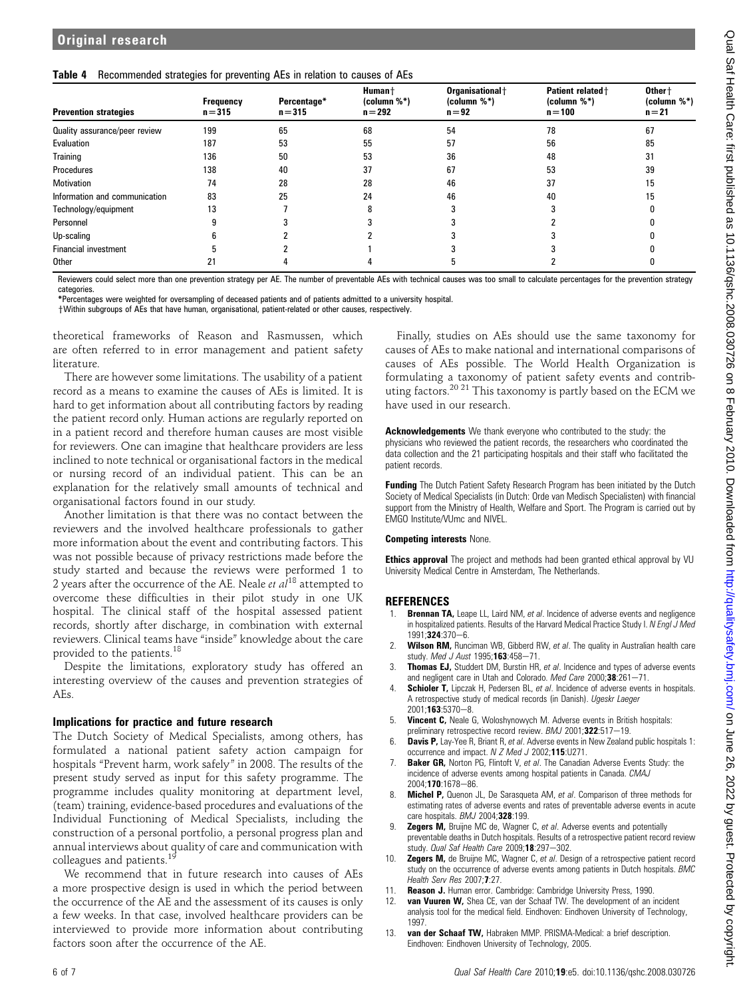## Table 4 Recommended strategies for preventing AEs in relation to causes of AEs

| <b>Prevention strategies</b>  | <b>Frequency</b><br>$n = 315$ | Percentage*<br>$n = 315$ | Human <sup>+</sup><br>(column $%^*$ )<br>$n = 292$ | Organisational <sup>+</sup><br>(column $%^*$ )<br>$n = 92$ | Patient related +<br>(column $%$ *)<br>$n = 100$ | Other +<br>(column $%^*$ )<br>$n = 21$ |
|-------------------------------|-------------------------------|--------------------------|----------------------------------------------------|------------------------------------------------------------|--------------------------------------------------|----------------------------------------|
| Quality assurance/peer review | 199                           | 65                       | 68                                                 | 54                                                         | 78                                               | 67                                     |
| Evaluation                    | 187                           | 53                       | 55                                                 | 57                                                         | 56                                               | 85                                     |
| Training                      | 136                           | 50                       | 53                                                 | 36                                                         | 48                                               | 31                                     |
| Procedures                    | 138                           | 40                       | 37                                                 | 67                                                         | 53                                               | 39                                     |
| <b>Motivation</b>             | 74                            | 28                       | 28                                                 | 46                                                         | 37                                               | 15                                     |
| Information and communication | 83                            | 25                       | 24                                                 | 46                                                         | 40                                               | 15                                     |
| Technology/equipment          | 13                            |                          |                                                    |                                                            |                                                  |                                        |
| Personnel                     |                               |                          |                                                    |                                                            |                                                  |                                        |
| Up-scaling                    |                               |                          |                                                    |                                                            |                                                  |                                        |
| <b>Financial investment</b>   |                               |                          |                                                    |                                                            |                                                  |                                        |
| Other                         | ۷I                            |                          |                                                    |                                                            |                                                  |                                        |

Reviewers could select more than one prevention strategy per AE. The number of preventable AEs with technical causes was too small to calculate percentages for the prevention strategy categories.

\*Percentages were weighted for oversampling of deceased patients and of patients admitted to a university hospital.

yWithin subgroups of AEs that have human, organisational, patient-related or other causes, respectively.

theoretical frameworks of Reason and Rasmussen, which are often referred to in error management and patient safety literature.

There are however some limitations. The usability of a patient record as a means to examine the causes of AEs is limited. It is hard to get information about all contributing factors by reading the patient record only. Human actions are regularly reported on in a patient record and therefore human causes are most visible for reviewers. One can imagine that healthcare providers are less inclined to note technical or organisational factors in the medical or nursing record of an individual patient. This can be an explanation for the relatively small amounts of technical and organisational factors found in our study.

Another limitation is that there was no contact between the reviewers and the involved healthcare professionals to gather more information about the event and contributing factors. This was not possible because of privacy restrictions made before the study started and because the reviews were performed 1 to 2 years after the occurrence of the AE. Neale et  $a\dot{l}^{18}$  attempted to overcome these difficulties in their pilot study in one UK hospital. The clinical staff of the hospital assessed patient records, shortly after discharge, in combination with external reviewers. Clinical teams have "inside" knowledge about the care provided to the patients.<sup>18</sup>

Despite the limitations, exploratory study has offered an interesting overview of the causes and prevention strategies of AEs.

#### Implications for practice and future research

The Dutch Society of Medical Specialists, among others, has formulated a national patient safety action campaign for hospitals "Prevent harm, work safely" in 2008. The results of the present study served as input for this safety programme. The programme includes quality monitoring at department level, (team) training, evidence-based procedures and evaluations of the Individual Functioning of Medical Specialists, including the construction of a personal portfolio, a personal progress plan and annual interviews about quality of care and communication with colleagues and patients.<sup>19</sup>

We recommend that in future research into causes of AEs a more prospective design is used in which the period between the occurrence of the AE and the assessment of its causes is only a few weeks. In that case, involved healthcare providers can be interviewed to provide more information about contributing factors soon after the occurrence of the AE.

Finally, studies on AEs should use the same taxonomy for causes of AEs to make national and international comparisons of causes of AEs possible. The World Health Organization is formulating a taxonomy of patient safety events and contributing factors.<sup>20 21</sup> This taxonomy is partly based on the ECM we have used in our research.

Acknowledgements We thank everyone who contributed to the study: the physicians who reviewed the patient records, the researchers who coordinated the data collection and the 21 participating hospitals and their staff who facilitated the patient records.

Funding The Dutch Patient Safety Research Program has been initiated by the Dutch Society of Medical Specialists (in Dutch: Orde van Medisch Specialisten) with financial support from the Ministry of Health, Welfare and Sport. The Program is carried out by EMGO Institute/VUmc and NIVEL.

#### Competing interests None.

Ethics approval The project and methods had been granted ethical approval by VU University Medical Centre in Amsterdam, The Netherlands.

#### **REFERENCES**

- Brennan TA, Leape LL, Laird NM, et al. Incidence of adverse events and negligence in hospitalized patients. Results of the Harvard Medical Practice Study I. N Engl J Med 1991:324:370-6.
- 2. Wilson RM, Runciman WB, Gibberd RW, et al. The quality in Australian health care study. Med J Aust 1995;163:458-71.
- 3. Thomas EJ, Studdert DM, Burstin HR, et al. Incidence and types of adverse events and negligent care in Utah and Colorado. Med Care  $2000; 38:261 - 71$ .
- Schioler T, Lipczak H, Pedersen BL, et al. Incidence of adverse events in hospitals. A retrospective study of medical records (in Danish). Ugeskr Laeger  $2001:163:5370-8.$
- 5. Vincent C, Neale G, Woloshynowych M. Adverse events in British hospitals: preliminary retrospective record review. BMJ 2001;322:517-19.
- 6. Davis P, Lay-Yee R, Briant R, et al. Adverse events in New Zealand public hospitals 1: occurrence and impact. N Z Med J 2002;115:U271.
- 7. Baker GR, Norton PG, Flintoft V, et al. The Canadian Adverse Events Study: the incidence of adverse events among hospital patients in Canada. CMAJ 2004:170:1678-86.
- **Michel P,** Quenon JL, De Sarasqueta AM, et al. Comparison of three methods for estimating rates of adverse events and rates of preventable adverse events in acute care hospitals. BMJ 2004;328:199.
- 9. **Zegers M,** Bruijne MC de, Wagner C, et al. Adverse events and potentially preventable deaths in Dutch hospitals. Results of a retrospective patient record review study. Qual Saf Health Care 2009;18:297-302.
- 10. **Zegers M,** de Bruijne MC, Wagner C, et al. Design of a retrospective patient record study on the occurrence of adverse events among patients in Dutch hospitals. BMC Health Serv Res 2007;7:27.
- 11. Reason J. Human error. Cambridge: Cambridge University Press, 1990.
- 12. van Vuuren W, Shea CE, van der Schaaf TW. The development of an incident analysis tool for the medical field. Eindhoven: Eindhoven University of Technology, 1997.
- 13. van der Schaaf TW, Habraken MMP. PRISMA-Medical: a brief description. Eindhoven: Eindhoven University of Technology, 2005.